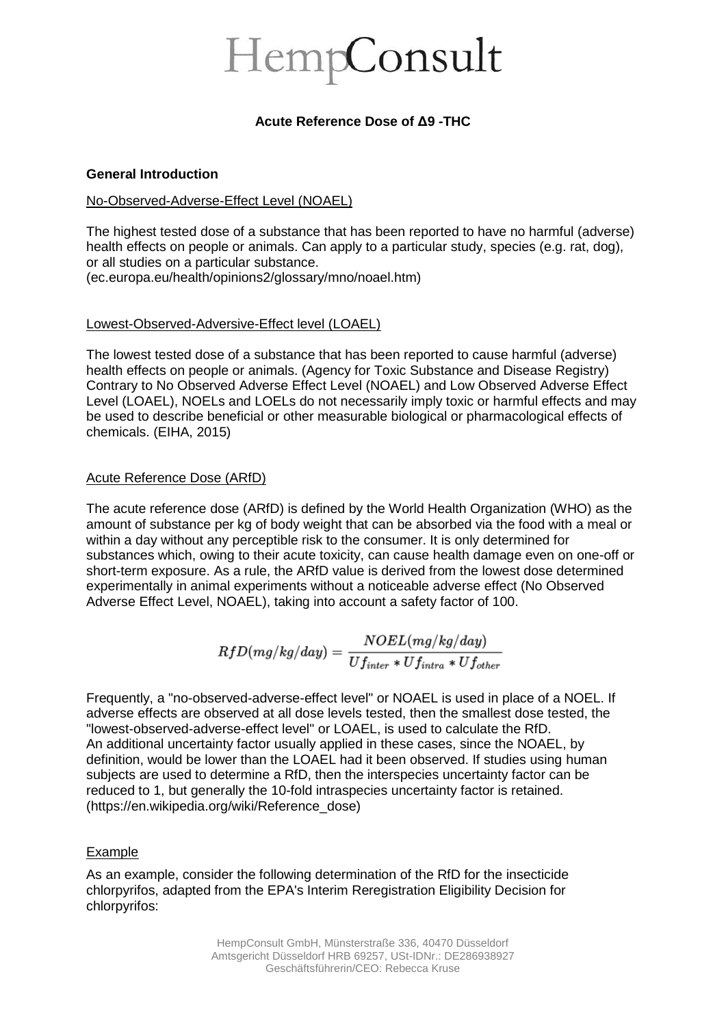# HempConsult

# **Acute Reference Dose of Δ9 -THC**

## **General Introduction**

# No-Observed-Adverse-Effect Level (NOAEL)

The highest tested dose of a substance that has been reported to have no harmful (adverse) health effects on people or animals. Can apply to a particular study, species (e.g. rat, dog), or all studies on a particular substance. (ec.europa.eu/health/opinions2/glossary/mno/noael.htm)

## Lowest-Observed-Adversive-Effect level (LOAEL)

The lowest tested dose of a substance that has been reported to cause harmful (adverse) health effects on people or animals. (Agency for Toxic Substance and Disease Registry) Contrary to No Observed Adverse Effect Level (NOAEL) and Low Observed Adverse Effect Level (LOAEL), NOELs and LOELs do not necessarily imply toxic or harmful effects and may be used to describe beneficial or other measurable biological or pharmacological effects of chemicals. (EIHA, 2015)

## Acute Reference Dose (ARfD)

The acute reference dose (ARfD) is defined by the World Health Organization (WHO) as the amount of substance per kg of body weight that can be absorbed via the food with a meal or within a day without any perceptible risk to the consumer. It is only determined for substances which, owing to their acute toxicity, can cause health damage even on one-off or short-term exposure. As a rule, the ARfD value is derived from the lowest dose determined experimentally in animal experiments without a noticeable adverse effect (No Observed Adverse Effect Level, NOAEL), taking into account a safety factor of 100.

$$
RfD(mg/kg/day)=\frac{NOEL(mg/kg/day)}{Uf_{inter}*Uf_{intra}*Uf_{other}}
$$

Frequently, a ["no-observed-adverse-effect level"](https://en.wikipedia.org/wiki/No-observed-adverse-effect_level) or NOAEL is used in place of a NOEL. If adverse effects are observed at all dose levels tested, then the smallest dose tested, the ["lowest-observed-adverse-effect level"](https://en.wikipedia.org/wiki/Lowest-observed-adverse-effect_level) or LOAEL, is used to calculate the RfD. An additional uncertainty factor usually applied in these cases, since the NOAEL, by definition, would be lower than the LOAEL had it been observed. If studies using [human](https://en.wikipedia.org/wiki/Human_subject_research)  [subjects](https://en.wikipedia.org/wiki/Human_subject_research) are used to determine a RfD, then the interspecies uncertainty factor can be reduced to 1, but generally the 10-fold intraspecies uncertainty factor is retained. (https://en.wikipedia.org/wiki/Reference\_dose)

# Example

As an example, consider the following determination of the RfD for the insecticide [chlorpyrifos,](https://en.wikipedia.org/wiki/Chlorpyrifos) adapted from the EPA's Interim Reregistration Eligibility Decision for chlorpyrifos: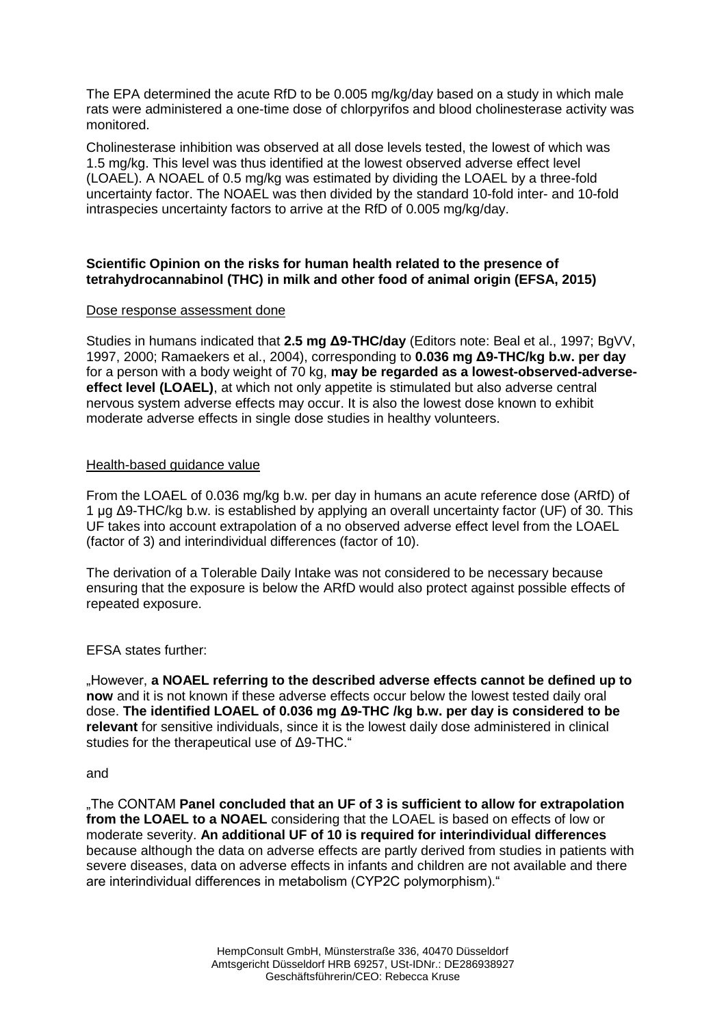The EPA determined the acute RfD to be 0.005 mg/kg/day based on a study in which male rats were administered a one-time dose of chlorpyrifos and blood [cholinesterase](https://en.wikipedia.org/wiki/Cholinesterase) activity was monitored.

Cholinesterase inhibition was observed at all dose levels tested, the lowest of which was 1.5 mg/kg. This level was thus identified at the lowest observed adverse effect level (LOAEL). A NOAEL of 0.5 mg/kg was estimated by dividing the LOAEL by a three-fold uncertainty factor. The NOAEL was then divided by the standard 10-fold inter- and 10-fold intraspecies uncertainty factors to arrive at the RfD of 0.005 mg/kg/day.

# **Scientific Opinion on the risks for human health related to the presence of tetrahydrocannabinol (THC) in milk and other food of animal origin (EFSA, 2015)**

## Dose response assessment done

Studies in humans indicated that **2.5 mg Δ9-THC/day** (Editors note: Beal et al., 1997; BgVV, 1997, 2000; Ramaekers et al., 2004), corresponding to **0.036 mg Δ9-THC/kg b.w. per day** for a person with a body weight of 70 kg, **may be regarded as a lowest-observed-adverseeffect level (LOAEL)**, at which not only appetite is stimulated but also adverse central nervous system adverse effects may occur. It is also the lowest dose known to exhibit moderate adverse effects in single dose studies in healthy volunteers.

## Health-based guidance value

From the LOAEL of 0.036 mg/kg b.w. per day in humans an acute reference dose (ARfD) of 1 μg Δ9-THC/kg b.w. is established by applying an overall uncertainty factor (UF) of 30. This UF takes into account extrapolation of a no observed adverse effect level from the LOAEL (factor of 3) and interindividual differences (factor of 10).

The derivation of a Tolerable Daily Intake was not considered to be necessary because ensuring that the exposure is below the ARfD would also protect against possible effects of repeated exposure.

EFSA states further:

"However, **a NOAEL referring to the described adverse effects cannot be defined up to now** and it is not known if these adverse effects occur below the lowest tested daily oral dose. **The identified LOAEL of 0.036 mg Δ9-THC /kg b.w. per day is considered to be relevant** for sensitive individuals, since it is the lowest daily dose administered in clinical studies for the therapeutical use of Δ9-THC."

#### and

"The CONTAM **Panel concluded that an UF of 3 is sufficient to allow for extrapolation from the LOAEL to a NOAEL** considering that the LOAEL is based on effects of low or moderate severity. **An additional UF of 10 is required for interindividual differences** because although the data on adverse effects are partly derived from studies in patients with severe diseases, data on adverse effects in infants and children are not available and there are interindividual differences in metabolism (CYP2C polymorphism)."